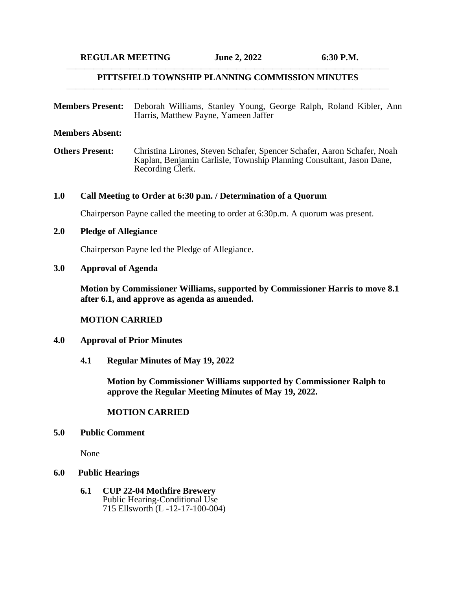### $\cdots$ **PITTSFIELD TOWNSHIP PLANNING COMMISSION MINUTES**  $\cdots$

**Members Present:** Deborah Williams, Stanley Young, George Ralph, Roland Kibler, Ann Harris, Matthew Payne, Yameen Jaffer

**Members Absent:**

**Others Present:** Christina Lirones, Steven Schafer, Spencer Schafer, Aaron Schafer, Noah Kaplan, Benjamin Carlisle, Township Planning Consultant, Jason Dane, Recording Clerk.

#### **1.0 Call Meeting to Order at 6:30 p.m. / Determination of a Quorum**

Chairperson Payne called the meeting to order at 6:30p.m. A quorum was present.

### **2.0 Pledge of Allegiance**

Chairperson Payne led the Pledge of Allegiance.

#### **3.0 Approval of Agenda**

**Motion by Commissioner Williams, supported by Commissioner Harris to move 8.1 after 6.1, and approve as agenda as amended.**

### **MOTION CARRIED**

### **4.0 Approval of Prior Minutes**

**4.1 Regular Minutes of May 19, 2022**

**Motion by Commissioner Williams supported by Commissioner Ralph to approve the Regular Meeting Minutes of May 19, 2022.**

#### **MOTION CARRIED**

### **5.0 Public Comment**

None

#### **6.0 Public Hearings**

**6.1 CUP 22-04 Mothfire Brewery** Public Hearing-Conditional Use 715 Ellsworth (L -12-17-100-004)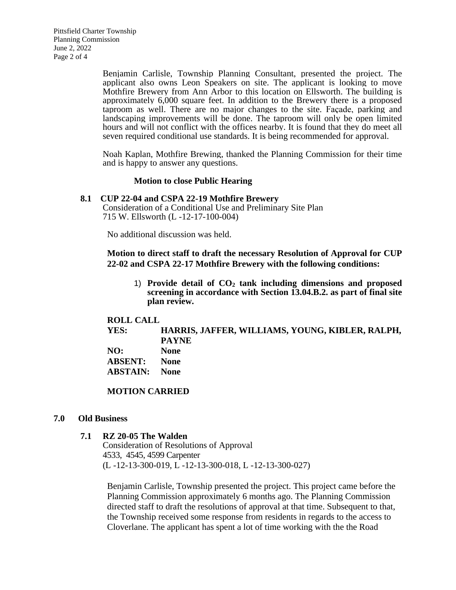Benjamin Carlisle, Township Planning Consultant, presented the project. The applicant also owns Leon Speakers on site. The applicant is looking to move Mothfire Brewery from Ann Arbor to this location on Ellsworth. The building is approximately 6,000 square feet. In addition to the Brewery there is a proposed taproom as well. There are no major changes to the site. Façade, parking and landscaping improvements will be done. The taproom will only be open limited hours and will not conflict with the offices nearby. It is found that they do meet all seven required conditional use standards. It is being recommended for approval.

Noah Kaplan, Mothfire Brewing, thanked the Planning Commission for their time and is happy to answer any questions.

#### **Motion to close Public Hearing**

#### **8.1 CUP 22-04 and CSPA 22-19 Mothfire Brewery**

 Consideration of a Conditional Use and Preliminary Site Plan 715 W. Ellsworth (L -12-17-100-004)

No additional discussion was held.

**Motion to direct staff to draft the necessary Resolution of Approval for CUP 22-02 and CSPA 22-17 Mothfire Brewery with the following conditions:**

1) **Provide detail of CO<sup>2</sup> tank including dimensions and proposed screening in accordance with Section 13.04.B.2. as part of final site plan review.**

## **ROLL CALL**

**YES: HARRIS, JAFFER, WILLIAMS, YOUNG, KIBLER, RALPH, PAYNE**

| NO:             | <b>None</b> |
|-----------------|-------------|
| <b>ABSENT:</b>  | <b>None</b> |
| <b>ABSTAIN:</b> | <b>None</b> |

#### **MOTION CARRIED**

### **7.0 Old Business**

#### **7.1 RZ 20-05 The Walden**

Consideration of Resolutions of Approval 4533, 4545, 4599 Carpenter (L -12-13-300-019, L -12-13-300-018, L -12-13-300-027)

Benjamin Carlisle, Township presented the project. This project came before the Planning Commission approximately 6 months ago. The Planning Commission directed staff to draft the resolutions of approval at that time. Subsequent to that, the Township received some response from residents in regards to the access to Cloverlane. The applicant has spent a lot of time working with the the Road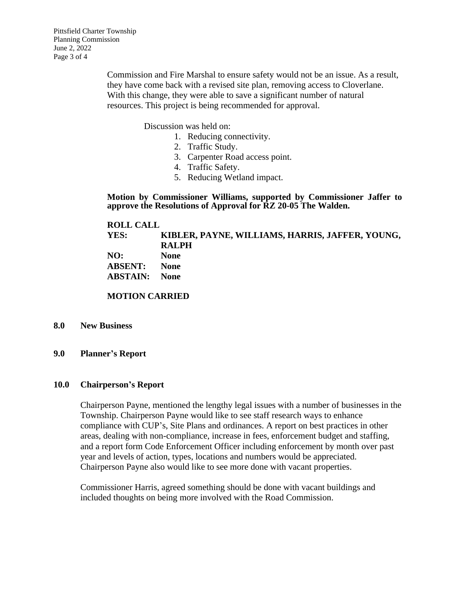Commission and Fire Marshal to ensure safety would not be an issue. As a result, they have come back with a revised site plan, removing access to Cloverlane. With this change, they were able to save a significant number of natural resources. This project is being recommended for approval.

Discussion was held on:

- 1. Reducing connectivity.
- 2. Traffic Study.
- 3. Carpenter Road access point.
- 4. Traffic Safety.
- 5. Reducing Wetland impact.

**Motion by Commissioner Williams, supported by Commissioner Jaffer to approve the Resolutions of Approval for RZ 20-05 The Walden.**

**ROLL CALL YES: KIBLER, PAYNE, WILLIAMS, HARRIS, JAFFER, YOUNG, RALPH NO: None ABSENT: None ABSTAIN: None**

**MOTION CARRIED**

#### **8.0 New Business**

### **9.0 Planner's Report**

## **10.0 Chairperson's Report**

Chairperson Payne, mentioned the lengthy legal issues with a number of businesses in the Township. Chairperson Payne would like to see staff research ways to enhance compliance with CUP's, Site Plans and ordinances. A report on best practices in other areas, dealing with non-compliance, increase in fees, enforcement budget and staffing, and a report form Code Enforcement Officer including enforcement by month over past year and levels of action, types, locations and numbers would be appreciated. Chairperson Payne also would like to see more done with vacant properties.

Commissioner Harris, agreed something should be done with vacant buildings and included thoughts on being more involved with the Road Commission.